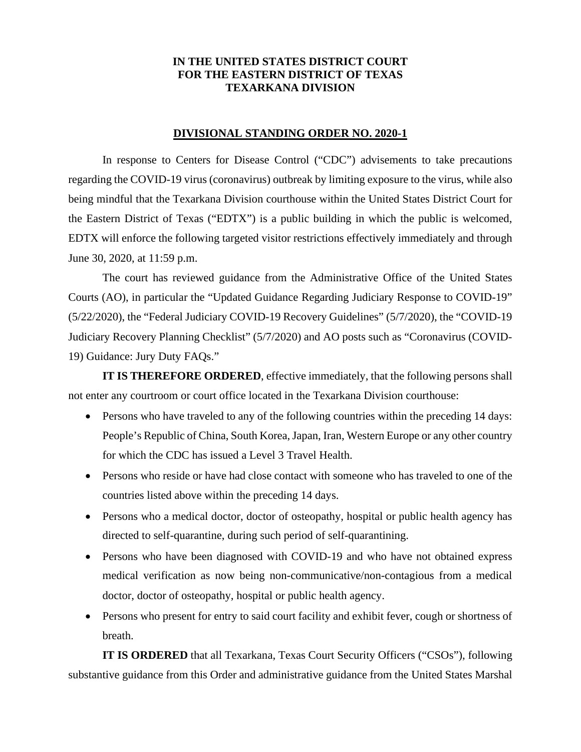## **IN THE UNITED STATES DISTRICT COURT FOR THE EASTERN DISTRICT OF TEXAS TEXARKANA DIVISION**

## **DIVISIONAL STANDING ORDER NO. 2020-1**

In response to Centers for Disease Control ("CDC") advisements to take precautions regarding the COVID-19 virus (coronavirus) outbreak by limiting exposure to the virus, while also being mindful that the Texarkana Division courthouse within the United States District Court for the Eastern District of Texas ("EDTX") is a public building in which the public is welcomed, EDTX will enforce the following targeted visitor restrictions effectively immediately and through June 30, 2020, at 11:59 p.m.

The court has reviewed guidance from the Administrative Office of the United States Courts (AO), in particular the "Updated Guidance Regarding Judiciary Response to COVID-19" (5/22/2020), the "Federal Judiciary COVID-19 Recovery Guidelines" (5/7/2020), the "COVID-19 Judiciary Recovery Planning Checklist" (5/7/2020) and AO posts such as "Coronavirus (COVID-19) Guidance: Jury Duty FAQs."

**IT IS THEREFORE ORDERED**, effective immediately, that the following persons shall not enter any courtroom or court office located in the Texarkana Division courthouse:

- Persons who have traveled to any of the following countries within the preceding 14 days: People's Republic of China, South Korea, Japan, Iran, Western Europe or any other country for which the CDC has issued a Level 3 Travel Health.
- Persons who reside or have had close contact with someone who has traveled to one of the countries listed above within the preceding 14 days.
- Persons who a medical doctor, doctor of osteopathy, hospital or public health agency has directed to self-quarantine, during such period of self-quarantining.
- Persons who have been diagnosed with COVID-19 and who have not obtained express medical verification as now being non-communicative/non-contagious from a medical doctor, doctor of osteopathy, hospital or public health agency.
- Persons who present for entry to said court facility and exhibit fever, cough or shortness of breath.

**IT IS ORDERED** that all Texarkana, Texas Court Security Officers ("CSOs"), following substantive guidance from this Order and administrative guidance from the United States Marshal